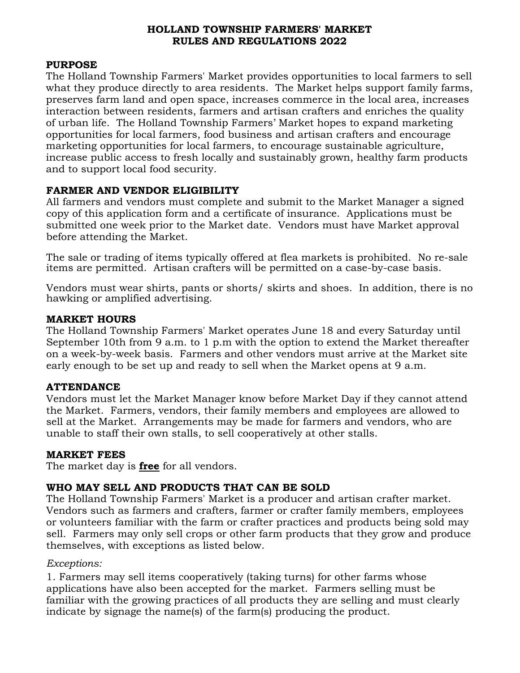#### **HOLLAND TOWNSHIP FARMERS' MARKET RULES AND REGULATIONS 2022**

#### **PURPOSE**

The Holland Township Farmers' Market provides opportunities to local farmers to sell what they produce directly to area residents. The Market helps support family farms, preserves farm land and open space, increases commerce in the local area, increases interaction between residents, farmers and artisan crafters and enriches the quality of urban life. The Holland Township Farmers' Market hopes to expand marketing opportunities for local farmers, food business and artisan crafters and encourage marketing opportunities for local farmers, to encourage sustainable agriculture, increase public access to fresh locally and sustainably grown, healthy farm products and to support local food security.

### **FARMER AND VENDOR ELIGIBILITY**

All farmers and vendors must complete and submit to the Market Manager a signed copy of this application form and a certificate of insurance. Applications must be submitted one week prior to the Market date. Vendors must have Market approval before attending the Market.

The sale or trading of items typically offered at flea markets is prohibited. No re-sale items are permitted. Artisan crafters will be permitted on a case-by-case basis.

Vendors must wear shirts, pants or shorts/ skirts and shoes. In addition, there is no hawking or amplified advertising.

#### **MARKET HOURS**

The Holland Township Farmers' Market operates June 18 and every Saturday until September 10th from 9 a.m. to 1 p.m with the option to extend the Market thereafter on a week-by-week basis. Farmers and other vendors must arrive at the Market site early enough to be set up and ready to sell when the Market opens at 9 a.m.

#### **ATTENDANCE**

Vendors must let the Market Manager know before Market Day if they cannot attend the Market. Farmers, vendors, their family members and employees are allowed to sell at the Market. Arrangements may be made for farmers and vendors, who are unable to staff their own stalls, to sell cooperatively at other stalls.

#### **MARKET FEES**

The market day is **free** for all vendors.

### **WHO MAY SELL AND PRODUCTS THAT CAN BE SOLD**

The Holland Township Farmers' Market is a producer and artisan crafter market. Vendors such as farmers and crafters, farmer or crafter family members, employees or volunteers familiar with the farm or crafter practices and products being sold may sell. Farmers may only sell crops or other farm products that they grow and produce themselves, with exceptions as listed below.

#### *Exceptions:*

1. Farmers may sell items cooperatively (taking turns) for other farms whose applications have also been accepted for the market. Farmers selling must be familiar with the growing practices of all products they are selling and must clearly indicate by signage the name(s) of the farm(s) producing the product.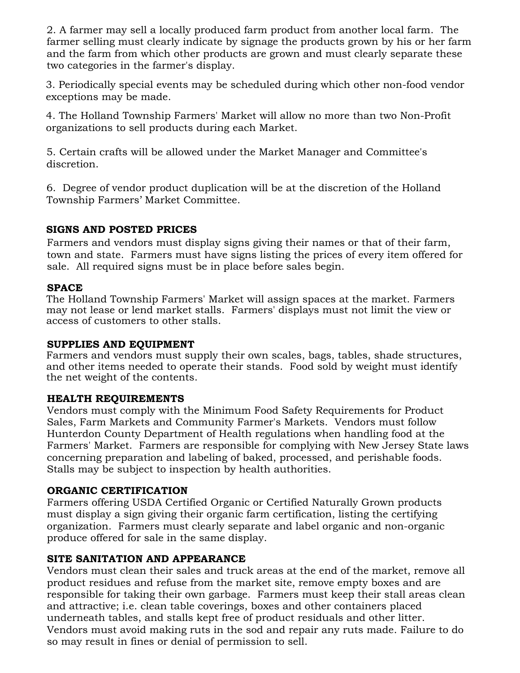2. A farmer may sell a locally produced farm product from another local farm. The farmer selling must clearly indicate by signage the products grown by his or her farm and the farm from which other products are grown and must clearly separate these two categories in the farmer's display.

3. Periodically special events may be scheduled during which other non-food vendor exceptions may be made.

4. The Holland Township Farmers' Market will allow no more than two Non-Profit organizations to sell products during each Market.

5. Certain crafts will be allowed under the Market Manager and Committee's discretion.

6. Degree of vendor product duplication will be at the discretion of the Holland Township Farmers' Market Committee.

## **SIGNS AND POSTED PRICES**

Farmers and vendors must display signs giving their names or that of their farm, town and state. Farmers must have signs listing the prices of every item offered for sale. All required signs must be in place before sales begin.

## **SPACE**

The Holland Township Farmers' Market will assign spaces at the market. Farmers may not lease or lend market stalls. Farmers' displays must not limit the view or access of customers to other stalls.

### **SUPPLIES AND EQUIPMENT**

Farmers and vendors must supply their own scales, bags, tables, shade structures, and other items needed to operate their stands. Food sold by weight must identify the net weight of the contents.

# **HEALTH REQUIREMENTS**

Vendors must comply with the Minimum Food Safety Requirements for Product Sales, Farm Markets and Community Farmer's Markets. Vendors must follow Hunterdon County Department of Health regulations when handling food at the Farmers' Market. Farmers are responsible for complying with New Jersey State laws concerning preparation and labeling of baked, processed, and perishable foods. Stalls may be subject to inspection by health authorities.

# **ORGANIC CERTIFICATION**

Farmers offering USDA Certified Organic or Certified Naturally Grown products must display a sign giving their organic farm certification, listing the certifying organization. Farmers must clearly separate and label organic and non-organic produce offered for sale in the same display.

### **SITE SANITATION AND APPEARANCE**

Vendors must clean their sales and truck areas at the end of the market, remove all product residues and refuse from the market site, remove empty boxes and are responsible for taking their own garbage. Farmers must keep their stall areas clean and attractive; i.e. clean table coverings, boxes and other containers placed underneath tables, and stalls kept free of product residuals and other litter. Vendors must avoid making ruts in the sod and repair any ruts made. Failure to do so may result in fines or denial of permission to sell.